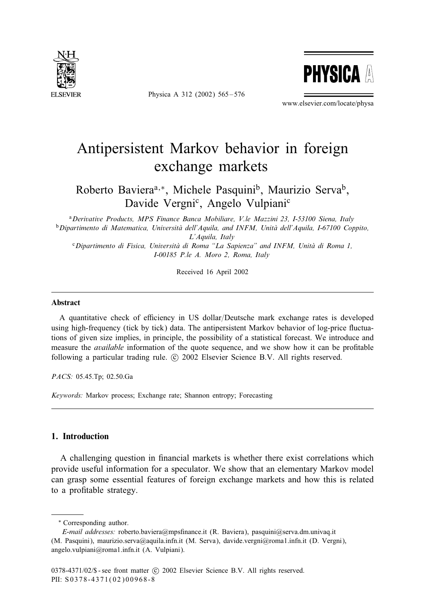

Physica A 312 (2002) 565 – 576



www.elsevier.com/locate/physa

## Antipersistent Markov behavior in foreign exchange markets

Roberto Baviera<sup>a,∗</sup>, Michele Pasquini<sup>b</sup>, Maurizio Serva<sup>b</sup>, Davide Vergni<sup>c</sup>, Angelo Vulpiani<sup>c</sup>

<sup>a</sup>*Derivative Products, MPS Finance Banca Mobiliare, V.le Mazzini 23, I-53100 Siena, Italy* <sup>b</sup>*Dipartimento di Matematica, Universita dell'Aquila, and INFM, Unit \$ a dell'Aquila, I-67100 Coppito, \$ L'Aquila, Italy*

<sup>c</sup> Dipartimento di Fisica, Università di Roma "La Sapienza" and INFM, Unità di Roma 1, *I-00185 P.le A. Moro 2, Roma, Italy*

Received 16 April 2002

## Abstract

A quantitative check of efficiency in US dollar/Deutsche mark exchange rates is developed using high-frequency (tick by tick) data. The antipersistent Markov behavior of log-price fluctuations of given size implies, in principle, the possibility of a statistical forecast. We introduce and measure the *available* information of the quote sequence, and we show how it can be profitable following a particular trading rule. © 2002 Elsevier Science B.V. All rights reserved.

*PACS:* 05.45.Tp; 02.50.Ga

*Keywords:* Markov process; Exchange rate; Shannon entropy; Forecasting

## 1. Introduction

A challenging question in financial markets is whether there exist correlations which provide useful information for a speculator. We show that an elementary Markov model can grasp some essential features of foreign exchange markets and how this is related to a profitable strategy.

<sup>∗</sup> Corresponding author.

*E-mail addresses:* roberto.baviera@mps5nance.it (R. Baviera), pasquini@serva.dm.univaq.it (M. Pasquini), maurizio.serva@aquila.infn.it (M. Serva), davide.vergni@roma1.infn.it (D. Vergni), angelo.vulpiani@roma1.infn.it (A. Vulpiani).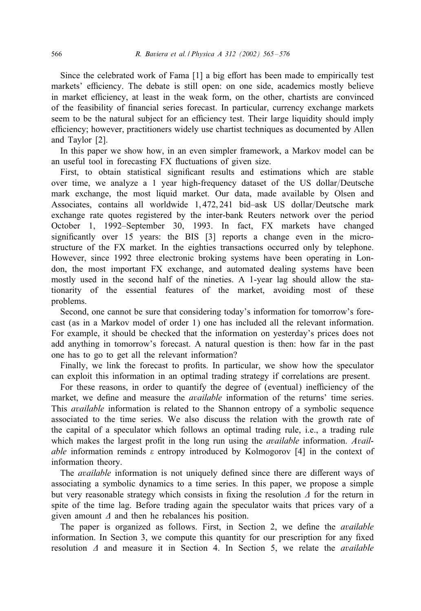Since the celebrated work of Fama [1] a big effort has been made to empirically test markets' efficiency. The debate is still open: on one side, academics mostly believe in market efficiency, at least in the weak form, on the other, chartists are convinced of the feasibility of 5nancial series forecast. In particular, currency exchange markets seem to be the natural subject for an efficiency test. Their large liquidity should imply efficiency; however, practitioners widely use chartist techniques as documented by Allen and Taylor [2].

In this paper we show how, in an even simpler framework, a Markov model can be an useful tool in forecasting FX fluctuations of given size.

First, to obtain statistical significant results and estimations which are stable over time, we analyze a 1 year high-frequency dataset of the US dollar/Deutsche mark exchange, the most liquid market. Our data, made available by Olsen and Associates, contains all worldwide  $1,472,241$  bid–ask US dollar/Deutsche mark exchange rate quotes registered by the inter-bank Reuters network over the period October 1, 1992–September 30, 1993. In fact, FX markets have changed significantly over 15 years: the BIS [3] reports a change even in the microstructure of the FX market. In the eighties transactions occurred only by telephone. However, since 1992 three electronic broking systems have been operating in London, the most important FX exchange, and automated dealing systems have been mostly used in the second half of the nineties. A 1-year lag should allow the stationarity of the essential features of the market, avoiding most of these problems.

Second, one cannot be sure that considering today's information for tomorrow's forecast (as in a Markov model of order 1) one has included all the relevant information. For example, it should be checked that the information on yesterday's prices does not add anything in tomorrow's forecast. A natural question is then: how far in the past one has to go to get all the relevant information?

Finally, we link the forecast to profits. In particular, we show how the speculator can exploit this information in an optimal trading strategy if correlations are present.

For these reasons, in order to quantify the degree of (eventual) inefficiency of the market, we define and measure the *available* information of the returns' time series. This *available* information is related to the Shannon entropy of a symbolic sequence associated to the time series. We also discuss the relation with the growth rate of the capital of a speculator which follows an optimal trading rule, i.e., a trading rule which makes the largest profit in the long run using the *available* information. Avail*able* information reminds  $\varepsilon$  entropy introduced by Kolmogorov [4] in the context of information theory.

The *available* information is not uniquely defined since there are different ways of associating a symbolic dynamics to a time series. In this paper, we propose a simple but very reasonable strategy which consists in fixing the resolution  $\Delta$  for the return in spite of the time lag. Before trading again the speculator waits that prices vary of a given amount  $\Delta$  and then he rebalances his position.

The paper is organized as follows. First, in Section 2, we define the *available* information. In Section 3, we compute this quantity for our prescription for any fixed resolution  $\Delta$  and measure it in Section 4. In Section 5, we relate the *available*